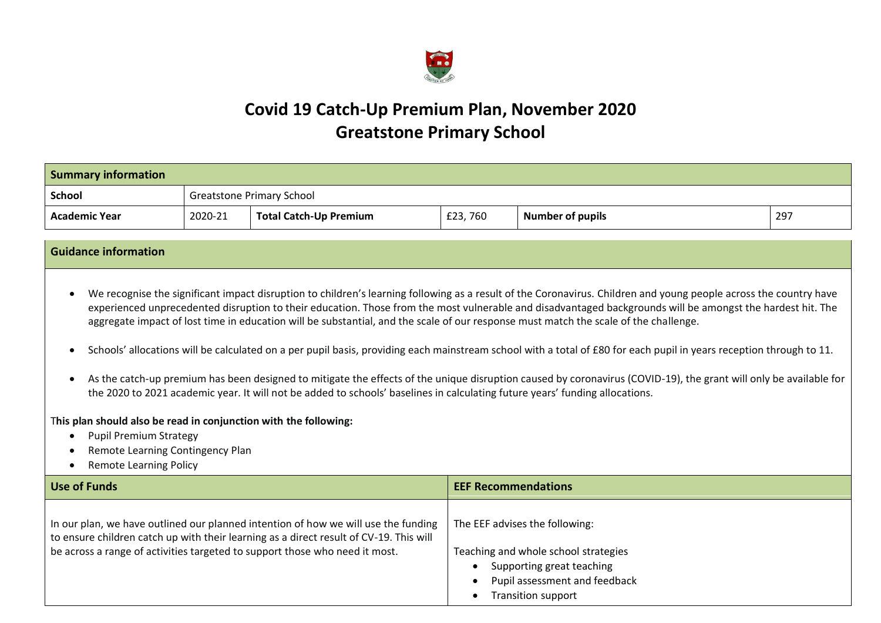

# **Covid 19 Catch-Up Premium Plan, November 2020 Greatstone Primary School**

| <b>Summary information</b> |                                  |                        |         |                         |     |
|----------------------------|----------------------------------|------------------------|---------|-------------------------|-----|
| School                     | <b>Greatstone Primary School</b> |                        |         |                         |     |
| Academic Year              | 2020-21                          | Total Catch-Up Premium | £23,760 | <b>Number of pupils</b> | 297 |

## **Guidance information**

• We recognise the significant impact disruption to children's learning following as a result of the Coronavirus. Children and young people across the country have experienced unprecedented disruption to their education. Those from the most vulnerable and disadvantaged backgrounds will be amongst the hardest hit. The aggregate impact of lost time in education will be substantial, and the scale of our response must match the scale of the challenge.

- Schools' allocations will be calculated on a per pupil basis, providing each mainstream school with a total of £80 for each pupil in years reception through to 11.
- As the catch-up premium has been designed to mitigate the effects of the unique disruption caused by coronavirus (COVID-19), the grant will only be available for the 2020 to 2021 academic year. It will not be added to schools' baselines in calculating future years' funding allocations.

### T**his plan should also be read in conjunction with the following:**

- Pupil Premium Strategy
- Remote Learning Contingency Plan
- Remote Learning Policy

| Use of Funds                                                                                                                                                                                                                                                | <b>EEF Recommendations</b>                                                                                                                                 |
|-------------------------------------------------------------------------------------------------------------------------------------------------------------------------------------------------------------------------------------------------------------|------------------------------------------------------------------------------------------------------------------------------------------------------------|
| In our plan, we have outlined our planned intention of how we will use the funding<br>to ensure children catch up with their learning as a direct result of CV-19. This will<br>be across a range of activities targeted to support those who need it most. | The EEF advises the following:<br>Teaching and whole school strategies<br>Supporting great teaching<br>Pupil assessment and feedback<br>Transition support |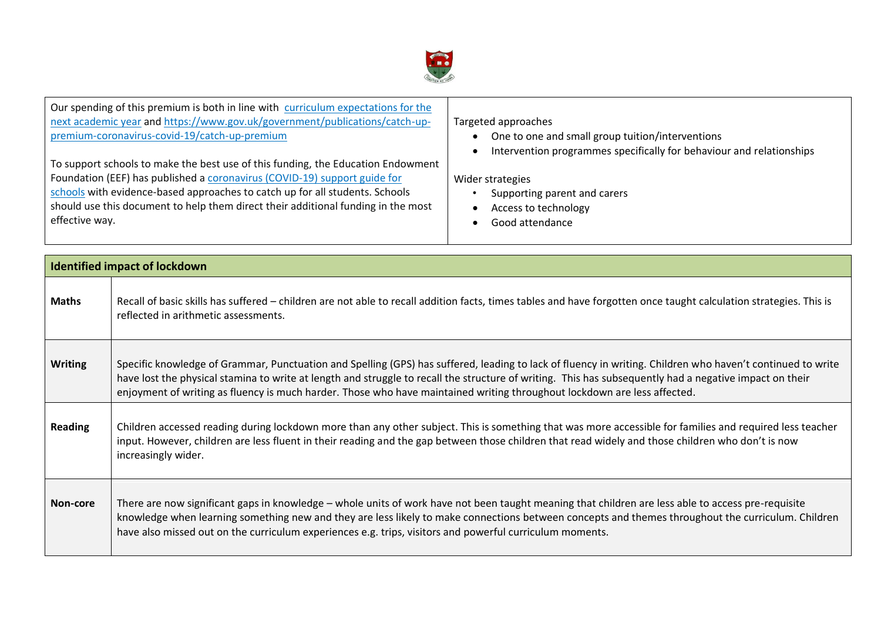

Our spending of this premium is both in line with [curriculum expectations for the](https://www.gov.uk/government/publications/actions-for-schools-during-the-coronavirus-outbreak/guidance-for-full-opening-schools#section-3-curriculum-behaviour-and-pastoral-support)  [next academic year](https://www.gov.uk/government/publications/actions-for-schools-during-the-coronavirus-outbreak/guidance-for-full-opening-schools#section-3-curriculum-behaviour-and-pastoral-support) an[d https://www.gov.uk/government/publications/catch-up](https://www.gov.uk/government/publications/catch-up-premium-coronavirus-covid-19/catch-up-premium)[premium-coronavirus-covid-19/catch-up-premium](https://www.gov.uk/government/publications/catch-up-premium-coronavirus-covid-19/catch-up-premium) To support schools to make the best use of this funding, the Education Endowment Foundation (EEF) has published a [coronavirus \(COVID-19\) support guide for](https://educationendowmentfoundation.org.uk/covid-19-resources/covid-19-support-guide-for-schools/#nav-covid-19-support-guide-for-schools1)  Targeted approaches

[schools](https://educationendowmentfoundation.org.uk/covid-19-resources/covid-19-support-guide-for-schools/#nav-covid-19-support-guide-for-schools1) with evidence-based approaches to catch up for all students. Schools should use this document to help them direct their additional funding in the most effective way.

- One to one and small group tuition/interventions
- Intervention programmes specifically for behaviour and relationships

#### Wider strategies

- Supporting parent and carers
- Access to technology
- Good attendance

|                | Identified impact of lockdown                                                                                                                                                                                                                                                                                                                                                                                                                     |
|----------------|---------------------------------------------------------------------------------------------------------------------------------------------------------------------------------------------------------------------------------------------------------------------------------------------------------------------------------------------------------------------------------------------------------------------------------------------------|
| <b>Maths</b>   | Recall of basic skills has suffered – children are not able to recall addition facts, times tables and have forgotten once taught calculation strategies. This is<br>reflected in arithmetic assessments.                                                                                                                                                                                                                                         |
| <b>Writing</b> | Specific knowledge of Grammar, Punctuation and Spelling (GPS) has suffered, leading to lack of fluency in writing. Children who haven't continued to write<br>have lost the physical stamina to write at length and struggle to recall the structure of writing. This has subsequently had a negative impact on their<br>enjoyment of writing as fluency is much harder. Those who have maintained writing throughout lockdown are less affected. |
| <b>Reading</b> | Children accessed reading during lockdown more than any other subject. This is something that was more accessible for families and required less teacher<br>input. However, children are less fluent in their reading and the gap between those children that read widely and those children who don't is now<br>increasingly wider.                                                                                                              |
| Non-core       | There are now significant gaps in knowledge – whole units of work have not been taught meaning that children are less able to access pre-requisite<br>knowledge when learning something new and they are less likely to make connections between concepts and themes throughout the curriculum. Children<br>have also missed out on the curriculum experiences e.g. trips, visitors and powerful curriculum moments.                              |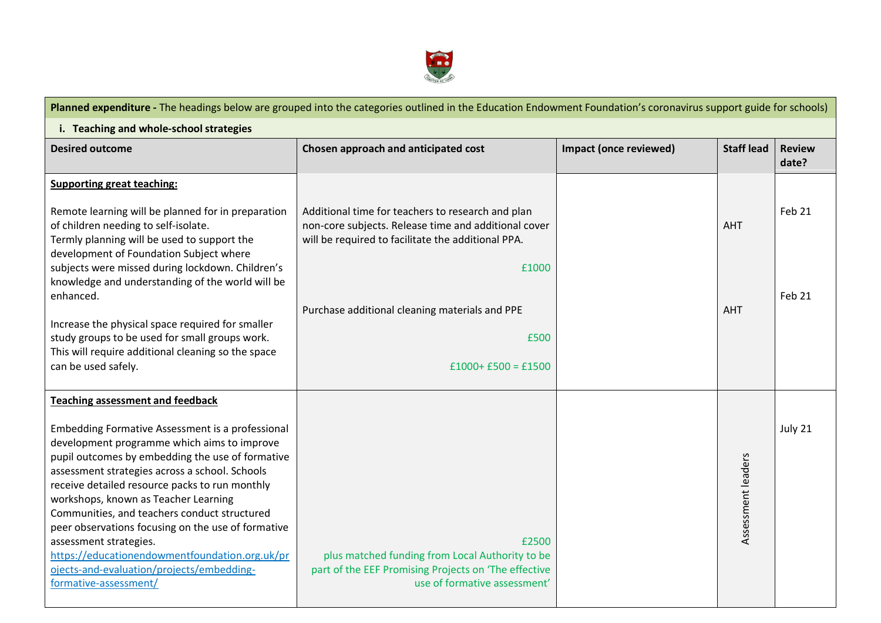

| Planned expenditure - The headings below are grouped into the categories outlined in the Education Endowment Foundation's coronavirus support guide for schools)                                                                                                                                                                                                                                                                                                                                                                                                                                   |                                                                                                                                                                                                                                                          |                               |                          |                        |  |
|----------------------------------------------------------------------------------------------------------------------------------------------------------------------------------------------------------------------------------------------------------------------------------------------------------------------------------------------------------------------------------------------------------------------------------------------------------------------------------------------------------------------------------------------------------------------------------------------------|----------------------------------------------------------------------------------------------------------------------------------------------------------------------------------------------------------------------------------------------------------|-------------------------------|--------------------------|------------------------|--|
| i. Teaching and whole-school strategies                                                                                                                                                                                                                                                                                                                                                                                                                                                                                                                                                            |                                                                                                                                                                                                                                                          |                               |                          |                        |  |
| <b>Desired outcome</b>                                                                                                                                                                                                                                                                                                                                                                                                                                                                                                                                                                             | Chosen approach and anticipated cost                                                                                                                                                                                                                     | <b>Impact (once reviewed)</b> | <b>Staff lead</b>        | <b>Review</b><br>date? |  |
| <b>Supporting great teaching:</b><br>Remote learning will be planned for in preparation<br>of children needing to self-isolate.<br>Termly planning will be used to support the<br>development of Foundation Subject where<br>subjects were missed during lockdown. Children's<br>knowledge and understanding of the world will be<br>enhanced.<br>Increase the physical space required for smaller<br>study groups to be used for small groups work.<br>This will require additional cleaning so the space<br>can be used safely.                                                                  | Additional time for teachers to research and plan<br>non-core subjects. Release time and additional cover<br>will be required to facilitate the additional PPA.<br>£1000<br>Purchase additional cleaning materials and PPE<br>£500<br>$£1000+£500=£1500$ |                               | <b>AHT</b><br><b>AHT</b> | Feb 21<br>Feb 21       |  |
| <b>Teaching assessment and feedback</b><br>Embedding Formative Assessment is a professional<br>development programme which aims to improve<br>pupil outcomes by embedding the use of formative<br>assessment strategies across a school. Schools<br>receive detailed resource packs to run monthly<br>workshops, known as Teacher Learning<br>Communities, and teachers conduct structured<br>peer observations focusing on the use of formative<br>assessment strategies.<br>https://educationendowmentfoundation.org.uk/pr<br>ojects-and-evaluation/projects/embedding-<br>formative-assessment/ | £2500<br>plus matched funding from Local Authority to be<br>part of the EEF Promising Projects on 'The effective<br>use of formative assessment'                                                                                                         |                               | Assessment leaders       | July 21                |  |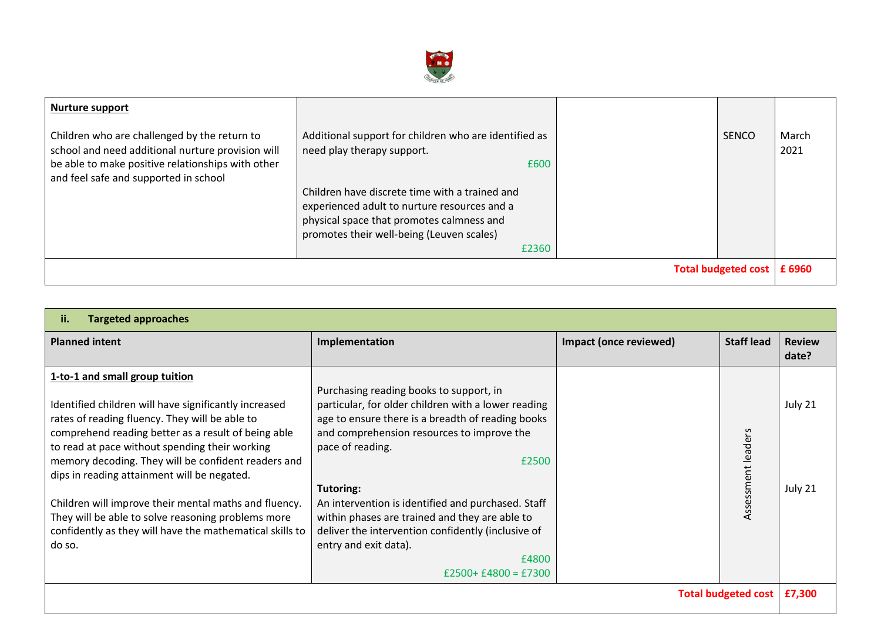

| <b>Nurture support</b><br>Children who are challenged by the return to<br>school and need additional nurture provision will<br>be able to make positive relationships with other<br>and feel safe and supported in school | Additional support for children who are identified as<br>need play therapy support.<br>£600<br>Children have discrete time with a trained and<br>experienced adult to nurture resources and a<br>physical space that promotes calmness and<br>promotes their well-being (Leuven scales)<br>£2360 |  | <b>SENCO</b> | March<br>2021 |
|---------------------------------------------------------------------------------------------------------------------------------------------------------------------------------------------------------------------------|--------------------------------------------------------------------------------------------------------------------------------------------------------------------------------------------------------------------------------------------------------------------------------------------------|--|--------------|---------------|
| Total budgeted cost   £ 6960                                                                                                                                                                                              |                                                                                                                                                                                                                                                                                                  |  |              |               |

| <b>Targeted approaches</b><br>ii.                                                                                                                                                                                                                                                                                                                                                                                                                                                                                                             |                                                                                                                                                                                                                                                                                                                                                                                                                                                                    |                        |                        |                        |
|-----------------------------------------------------------------------------------------------------------------------------------------------------------------------------------------------------------------------------------------------------------------------------------------------------------------------------------------------------------------------------------------------------------------------------------------------------------------------------------------------------------------------------------------------|--------------------------------------------------------------------------------------------------------------------------------------------------------------------------------------------------------------------------------------------------------------------------------------------------------------------------------------------------------------------------------------------------------------------------------------------------------------------|------------------------|------------------------|------------------------|
| <b>Planned intent</b>                                                                                                                                                                                                                                                                                                                                                                                                                                                                                                                         | Implementation                                                                                                                                                                                                                                                                                                                                                                                                                                                     | Impact (once reviewed) | <b>Staff lead</b>      | <b>Review</b><br>date? |
| 1-to-1 and small group tuition<br>Identified children will have significantly increased<br>rates of reading fluency. They will be able to<br>comprehend reading better as a result of being able<br>to read at pace without spending their working<br>memory decoding. They will be confident readers and<br>dips in reading attainment will be negated.<br>Children will improve their mental maths and fluency.<br>They will be able to solve reasoning problems more<br>confidently as they will have the mathematical skills to<br>do so. | Purchasing reading books to support, in<br>particular, for older children with a lower reading<br>age to ensure there is a breadth of reading books<br>and comprehension resources to improve the<br>pace of reading.<br>£2500<br>Tutoring:<br>An intervention is identified and purchased. Staff<br>within phases are trained and they are able to<br>deliver the intervention confidently (inclusive of<br>entry and exit data).<br>£4800<br>$£2500+£4800=£7300$ |                        | ers<br>Assessment lead | July 21<br>July 21     |
| <b>Total budgeted cost</b>                                                                                                                                                                                                                                                                                                                                                                                                                                                                                                                    |                                                                                                                                                                                                                                                                                                                                                                                                                                                                    |                        |                        | £7,300                 |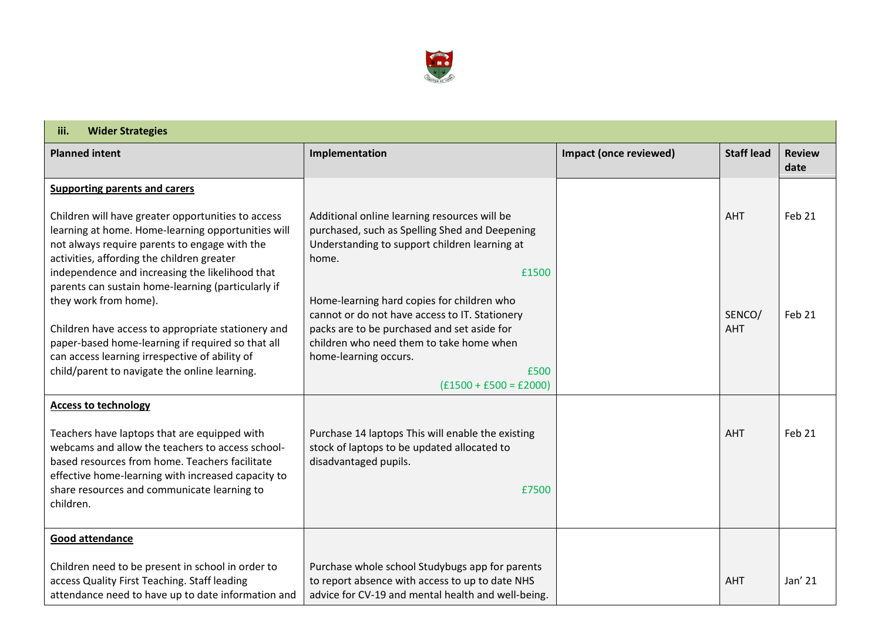

| <b>Wider Strategies</b><br>iii.                                                                                                                                                                                                                                                                                                              |                                                                                                                                                                                                                                                               |                        |                      |                       |  |
|----------------------------------------------------------------------------------------------------------------------------------------------------------------------------------------------------------------------------------------------------------------------------------------------------------------------------------------------|---------------------------------------------------------------------------------------------------------------------------------------------------------------------------------------------------------------------------------------------------------------|------------------------|----------------------|-----------------------|--|
| <b>Planned intent</b>                                                                                                                                                                                                                                                                                                                        | Implementation                                                                                                                                                                                                                                                | Impact (once reviewed) | <b>Staff lead</b>    | <b>Review</b><br>date |  |
| <b>Supporting parents and carers</b><br>Children will have greater opportunities to access<br>learning at home. Home-learning opportunities will<br>not always require parents to engage with the<br>activities, affording the children greater                                                                                              | Additional online learning resources will be<br>purchased, such as Spelling Shed and Deepening<br>Understanding to support children learning at<br>home.                                                                                                      |                        | <b>AHT</b>           | Feb 21                |  |
| independence and increasing the likelihood that<br>parents can sustain home-learning (particularly if<br>they work from home).<br>Children have access to appropriate stationery and<br>paper-based home-learning if required so that all<br>can access learning irrespective of ability of<br>child/parent to navigate the online learning. | £1500<br>Home-learning hard copies for children who<br>cannot or do not have access to IT. Stationery<br>packs are to be purchased and set aside for<br>children who need them to take home when<br>home-learning occurs.<br>£500<br>$(f1500 + f500) = f2000$ |                        | SENCO/<br><b>AHT</b> | Feb 21                |  |
| <b>Access to technology</b><br>Teachers have laptops that are equipped with<br>webcams and allow the teachers to access school-<br>based resources from home. Teachers facilitate<br>effective home-learning with increased capacity to<br>share resources and communicate learning to<br>children.                                          | Purchase 14 laptops This will enable the existing<br>stock of laptops to be updated allocated to<br>disadvantaged pupils.<br>£7500                                                                                                                            |                        | <b>AHT</b>           | Feb 21                |  |
| <b>Good attendance</b><br>Children need to be present in school in order to<br>access Quality First Teaching. Staff leading<br>attendance need to have up to date information and                                                                                                                                                            | Purchase whole school Studybugs app for parents<br>to report absence with access to up to date NHS<br>advice for CV-19 and mental health and well-being.                                                                                                      |                        | <b>AHT</b>           | Jan' 21               |  |